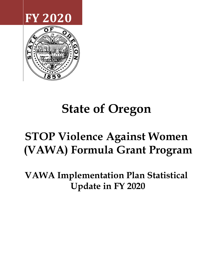



# **State of Oregon**

# **STOP Violence Against Women (VAWA) Formula Grant Program**

**VAWA Implementation Plan Statistical Update in FY 2020**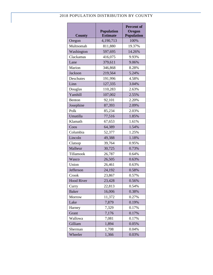# 2018 POPULATION DISTRIBUTION BY COUNTY

| <b>County</b>     | <b>Population</b><br><b>Estimate</b> | <b>Percent of</b><br><b>Oregon</b><br><b>Population</b> |
|-------------------|--------------------------------------|---------------------------------------------------------|
| Oregon            | 4,190,713                            | 100%                                                    |
| Multnomah         | 811,880                              | 19.37%                                                  |
| Washington        | 597,695                              | 14.26%                                                  |
| Clackamas         | 416,075                              | 9.93%                                                   |
| Lane              | 379,611                              | 9.06%                                                   |
| Marion            | 346,868                              | 8.28%                                                   |
| <b>Jackson</b>    | 219,564                              | 5.24%                                                   |
| Deschutes         | 191,996                              | 4.58%                                                   |
| Linn              | 127,335                              | 3.04%                                                   |
| Douglas           | 110,283                              | 2.63%                                                   |
| Yamhill           | 107,002                              | 2.55%                                                   |
| Benton            | 92,101                               | 2.20%                                                   |
| Josephine         | 87,393                               | 2.09%                                                   |
| Polk              | 85,234                               | 2.03%                                                   |
| Umatilla          | 77,516                               | 1.85%                                                   |
| Klamath           | 67,653                               | 1.61%                                                   |
| Coos              | 64,389                               | 1.54%                                                   |
| Columbia          | 52,377                               | 1.25%                                                   |
| Lincoln           | 49,388                               | 1.18%                                                   |
| Clatsop           | 39,764                               | 0.95%                                                   |
| Malheur           | 30,725                               | 0.73%                                                   |
| Tillamook         | 26,787                               | 0.64%                                                   |
| Wasco             | 26,505                               | 0.63%                                                   |
| Union             | 26,461                               | 0.63%                                                   |
| Jefferson         | 24,192                               | 0.58%                                                   |
| Crook             | 23,867                               | 0.57%                                                   |
| <b>Hood River</b> | 23,428                               | 0.56%                                                   |
| Curry             | 22,813                               | 0.54%                                                   |
| <b>Baker</b>      | 16,006                               | 0.38%                                                   |
| Morrow            | 11,372                               | 0.27%                                                   |
| Lake              | 7,879                                | 0.19%                                                   |
| Harney            | 7,329                                | 0.17%                                                   |
| Grant             | 7,176                                | 0.17%                                                   |
| Wallowa           | 7,081                                | 0.17%                                                   |
| Gilliam           | 1,894                                | 0.05%                                                   |
| Sherman           | 1,708                                | 0.04%                                                   |
| Wheeler           | 1,366                                | 0.03%                                                   |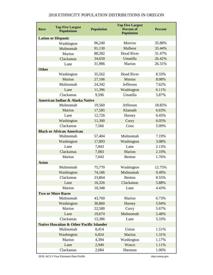## **Race Top Five Largest Populations Population Top Five Largest Percent of Population Percent Latino or Hispanic** Washington 96,240 Morrow 35.88% Multnomah 91,130 Malheur 33.44% Marion 88,282 Hood River 31.47% Clackamas 34,659 Umatilla 26.42% Lane 31,986 Marion 26.31% **Other** Washington 35,562 Hood River 8.33% Marion 27,106 Marion 8.08% Multnomah 24,342 Jefferson 7.62% Lane 11,396 Washington 6.11% Clackamas 9,596 Umatilla 5.87% **American Indian & Alaska Native** Multnomah 19,560 Jefferson 18.85% Marion 17,585 Klamath 6.63% Lane 12,726 Harney 6.45% Washington 11,300 Curry 6.05% Clackamas 7,560 Coos 5.99% **Black or African American**  Multnomah 57,404 Multnomah 7.19% Washington 17,893 Washington 3.08% Lane 2.13% Clackamas 7,083 Marion 2.10% Marion 7,043 Benton 1.76% **Asian**  Multnomah 75,770 Washington 12.75% Washington 74,186 Multnomah 9.49% Clackamas 23,864 Benton 8.55% Lane 16,326 Clackamas 5.88% Marion 10,348 Lane 4.43% **Two or More Races** Multnomah  $43,760$  Marion 6.73% Washington 30,860 Harney 5.94% Marion 22,580 Curry 5.67% Lane 19,674 Multnomah 5.48% Clackamas 15,386 Lane 5.33% **Native Hawaiian & Other Pacific Islander**  Multnomah 8,414 Union 1.51% Washington 6,824 Marion 1.31% Marion 4,394 Washington 1.17% Lane 2,940 Wasco 1.11% Clackamas 2,684 Sherman 1.06%

#### 2018 ETHNICITY POPULATION DISTRIBUTIONS IN OREGON

2018: ACS 5-Year Estimates Data Profile data.census.gov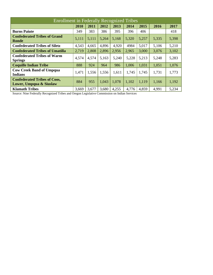| <b>Enrollment in Federally Recognized Tribes</b>               |       |       |       |       |       |       |       |       |  |  |
|----------------------------------------------------------------|-------|-------|-------|-------|-------|-------|-------|-------|--|--|
|                                                                | 2010  | 2011  | 2012  | 2013  | 2014  | 2015  | 2016  | 2017  |  |  |
| <b>Burns Paiute</b>                                            | 349   | 383   | 386   | 395   | 396   | 406   |       | 418   |  |  |
| <b>Confederated Tribes of Grand</b><br>Ronde                   | 5,111 | 5,111 | 5,264 | 5,168 | 5,320 | 5,257 | 5,335 | 5,398 |  |  |
| <b>Confederated Tribes of Siletz</b>                           | 4,543 | 4,665 | 4,896 | 4,920 | 4984  | 5,017 | 5,106 | 5,210 |  |  |
| <b>Confederated Tribes of Umatilla</b>                         | 2,719 | 2,808 | 2,896 | 2,956 | 2,965 | 3,000 | 3,076 | 3,102 |  |  |
| <b>Confederated Tribes of Warm</b><br><b>Springs</b>           | 4,574 | 4,574 | 5,163 | 5,240 | 5,228 | 5,213 | 5,248 | 5,283 |  |  |
| <b>Coquille Indian Tribe</b>                                   | 888   | 924   | 964   | 986   | 1,006 | 1,031 | 1,051 | 1,076 |  |  |
| <b>Cow Creek Band of Umpqua</b><br><b>Indians</b>              | 1,471 | 1,556 | 1,556 | 1,611 | 1,745 | 1,745 | 1,731 | 1,773 |  |  |
| <b>Confederated Tribes of Coos,</b><br>Lower, Umpqua & Siuslaw | 884   | 955   | 1,043 | 1,078 | 1,102 | 1,119 | 1,166 | 1,192 |  |  |
| <b>Klamath Tribes</b>                                          | 3,669 | 3,677 | 3,680 | 4,255 | 4,776 | 4,859 | 4,991 | 5,234 |  |  |

Source: Nine Federally Recognized Tribes and Oregon Legislative Commission on Indian Services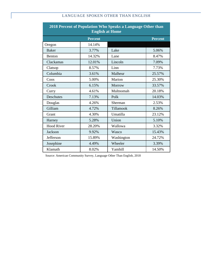# LANGUAGE SPOKEN OTHER THAN ENGLISH

| 2018 Percent of Population Who Speaks a Language Other than<br><b>English at Home</b> |                |            |                |  |  |  |  |  |
|---------------------------------------------------------------------------------------|----------------|------------|----------------|--|--|--|--|--|
|                                                                                       | <b>Percent</b> |            | <b>Percent</b> |  |  |  |  |  |
| Oregon                                                                                | 14.14%         |            |                |  |  |  |  |  |
| <b>Baker</b>                                                                          | 3.77%          | Lake       | 5.06%          |  |  |  |  |  |
| Benton                                                                                | 14.32%         | Lane       | 8.47%          |  |  |  |  |  |
| Clackamas                                                                             | 12.01%         | Lincoln    | 7.09%          |  |  |  |  |  |
| Clatsop                                                                               | 8.57%          | Linn       | 7.73%          |  |  |  |  |  |
| Columbia                                                                              | 3.61%          | Malheur    | 25.57%         |  |  |  |  |  |
| Coos                                                                                  | 5.00%          | Marion     | 25.30%         |  |  |  |  |  |
| Crook                                                                                 | 6.15%          | Morrow     | 33.57%         |  |  |  |  |  |
| Curry                                                                                 | 4.61%          | Multnomah  | 20.18%         |  |  |  |  |  |
| <b>Deschutes</b>                                                                      | 7.13%          | Polk       | 14.03%         |  |  |  |  |  |
| Douglas                                                                               | 4.26%          | Sherman    | 2.53%          |  |  |  |  |  |
| Gilliam                                                                               | 4.72%          | Tillamook  | 8.26%          |  |  |  |  |  |
| Grant                                                                                 | 4.30%          | Umatilla   | 23.12%         |  |  |  |  |  |
| Harney                                                                                | 5.28%          | Union      | 5.10%          |  |  |  |  |  |
| <b>Hood River</b>                                                                     | 28.20%         | Wallowa    | 3.32%          |  |  |  |  |  |
| Jackson                                                                               | 9.92%          | Wasco      | 15.43%         |  |  |  |  |  |
| Jefferson                                                                             | 15.89%         | Washington | 24.72%         |  |  |  |  |  |
| Josephine                                                                             | 4.49%          | Wheeler    | 3.39%          |  |  |  |  |  |
| Klamath                                                                               | 8.02%          | Yamhill    | 14.50%         |  |  |  |  |  |

Source: American Community Survey, Language Other Than English, 2018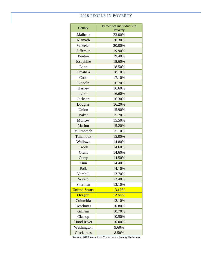## 2018 PEOPLE IN POVERTY

| County               | Percent of individuals in<br>Poverty |
|----------------------|--------------------------------------|
| Malheur              | 23.00%                               |
| Klamath              | 20.30%                               |
| Wheeler              | 20.00%                               |
| Jefferson            | 19.90%                               |
| Benton               | 19.40%                               |
| Josephine            | 18.60%                               |
| Lane                 | 18.50%                               |
| Umatilla             | 18.10%                               |
| Coos                 | 17.10%                               |
| Lincoln              | 16.70%                               |
| Harney               | 16.60%                               |
| Lake                 | 16.60%                               |
| Jackson              | 16.30%                               |
| Douglas              | 16.20%                               |
| Union                | 15.90%                               |
| <b>Baker</b>         | 15.70%                               |
| Morrow               | 15.50%                               |
| Marion               | 15.20%                               |
| Multnomah            | 15.10%                               |
| Tillamook            | 15.00%                               |
| Wallowa              | 14.80%                               |
| Crook                | 14.60%                               |
| Grant                | 14.60%                               |
| Curry                | 14.50%                               |
| Linn                 | 14.40%                               |
| Polk                 | 14.10%                               |
| Yamhill              | 13.70%                               |
| Wasco                | 13.40%                               |
| Sherman              | 13.10%                               |
| <b>United States</b> | 13.10%                               |
| <b>Oregon</b>        | 12.60%                               |
| Columbia             | 12.10%                               |
| <b>Deschutes</b>     | 10.80%                               |
| Gilliam              | 10.70%                               |
| Clatsop              | 10.50%                               |
| <b>Hood River</b>    | 10.00%                               |
| Washington           | 9.60%                                |
| Clackamas            | 8.50%                                |

Source: 2018 American Community Survey Estimates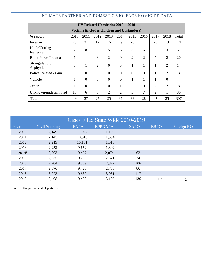| DV Related Homicides 2010 - 2018           |                  |          |                |                |                |                |                |                |                |                |  |
|--------------------------------------------|------------------|----------|----------------|----------------|----------------|----------------|----------------|----------------|----------------|----------------|--|
| Victims (includes children and bystanders) |                  |          |                |                |                |                |                |                |                |                |  |
| Weapon                                     | 2010             | 2011     | 2012           | 2013           | 2014           | 2015           | 2016           | 2017           | 2018           | Total          |  |
| Firearm                                    | 23               | 21       | 17             | 16             | 19             | 26             | 11             | 25             | 13             | 171            |  |
| Knife/Cutting<br>Instrument                | 7                | 8        | 5              | 5              | 6              | 3              | 6              | 8              | 3              | 51             |  |
| <b>Blunt Force Trauma</b>                  |                  | 1        | 3              | $\overline{2}$ | $\theta$       | $\overline{2}$ | $\overline{2}$ | 7              | $\overline{2}$ | 20             |  |
| Strangulation/<br>Asphyxiation             | 3                | 1        | $\overline{2}$ | $\theta$       | 3              | 1              | 1              | 1              | $\overline{2}$ | 14             |  |
| Police Related - Gun                       | $\Omega$         | $\Omega$ | $\Omega$       | $\Omega$       | $\Omega$       | $\Omega$       | $\Omega$       | 1              | $\overline{2}$ | 3              |  |
| Vehicle                                    | $\mathbf 1$<br>- | $\Omega$ | $\Omega$       | $\Omega$       | $\Omega$       | 1              | 1              | 1              | $\Omega$       | $\overline{4}$ |  |
| Other                                      | -                | $\theta$ | $\Omega$       | $\Omega$       |                | $\overline{2}$ | $\Omega$       | $\overline{2}$ | $\overline{2}$ | 8              |  |
| Unknown/undetermined                       | 13               | 6        | $\Omega$       | $\overline{2}$ | $\overline{2}$ | 3              | 7              | $\overline{2}$ | 1              | 36             |  |
| <b>Total</b>                               | 49               | 37       | 27             | 25             | 31             | 38             | 28             | 47             | 25             | 307            |  |

# INTIMATE PARTNER AND DOMESTIC VIOLENCE HOMICIDE DATA

| Cases Filed State Wide 2010-2019 |                       |             |                |             |             |            |  |  |  |  |
|----------------------------------|-----------------------|-------------|----------------|-------------|-------------|------------|--|--|--|--|
| Year                             | <b>Civil Stalking</b> | <b>FAPA</b> | <b>EPPDAPA</b> | <b>SAPO</b> | <b>ERPO</b> | Foreign RO |  |  |  |  |
| 2010                             | 2,149                 | 11,027      | 1,199          |             |             |            |  |  |  |  |
| 2011                             | 2,143                 | 10,818      | 1,534          |             |             |            |  |  |  |  |
| 2012                             | 2,219                 | 10,181      | 1,518          |             |             |            |  |  |  |  |
| 2013                             | 2,252                 | 9,652       | 1,802          |             |             |            |  |  |  |  |
| 2014 <sup>1</sup>                | 2,203                 | 9,457       | 2,074          | 62          |             |            |  |  |  |  |
| 2015                             | 2,535                 | 9,730       | 2,371          | 74          |             |            |  |  |  |  |
| 2016                             | 2,704                 | 9,869       | 2,822          | 106         |             |            |  |  |  |  |
| 2017                             | 2,676                 | 9,428       | 2,730          | 86          |             |            |  |  |  |  |
| 2018                             | 3,023                 | 9,630       | 3,031          | 117         |             |            |  |  |  |  |
| 2019                             | 3,408                 | 9,403       | 3,105          | 136         | 117         | 24         |  |  |  |  |

Source: Oregon Judicial Department